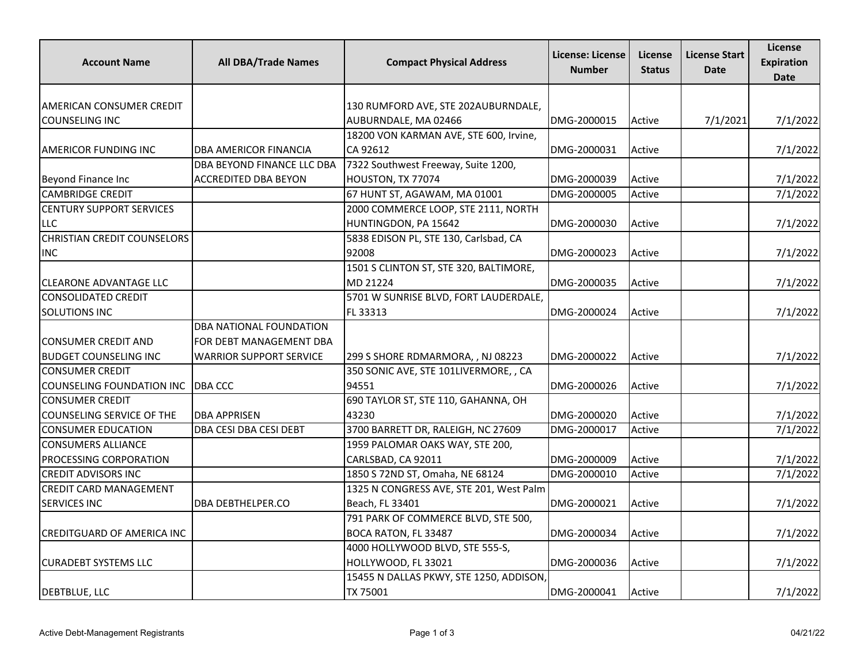| <b>Account Name</b>                | <b>All DBA/Trade Names</b>     | <b>Compact Physical Address</b>         | License: License<br><b>Number</b> | License<br><b>Status</b> | <b>License Start</b><br>Date | License<br><b>Expiration</b><br><b>Date</b> |
|------------------------------------|--------------------------------|-----------------------------------------|-----------------------------------|--------------------------|------------------------------|---------------------------------------------|
|                                    |                                |                                         |                                   |                          |                              |                                             |
| <b>AMERICAN CONSUMER CREDIT</b>    |                                | 130 RUMFORD AVE, STE 202AUBURNDALE,     |                                   |                          |                              |                                             |
| COUNSELING INC                     |                                | AUBURNDALE, MA 02466                    | DMG-2000015                       | Active                   | 7/1/2021                     | 7/1/2022                                    |
|                                    |                                | 18200 VON KARMAN AVE, STE 600, Irvine,  |                                   |                          |                              |                                             |
| AMERICOR FUNDING INC               | DBA AMERICOR FINANCIA          | CA 92612                                | DMG-2000031                       | Active                   |                              | 7/1/2022                                    |
|                                    | DBA BEYOND FINANCE LLC DBA     | 7322 Southwest Freeway, Suite 1200,     |                                   |                          |                              |                                             |
| Beyond Finance Inc                 | <b>ACCREDITED DBA BEYON</b>    | HOUSTON, TX 77074                       | DMG-2000039                       | Active                   |                              | 7/1/2022                                    |
| <b>CAMBRIDGE CREDIT</b>            |                                | 67 HUNT ST, AGAWAM, MA 01001            | DMG-2000005                       | Active                   |                              | 7/1/2022                                    |
| <b>CENTURY SUPPORT SERVICES</b>    |                                | 2000 COMMERCE LOOP, STE 2111, NORTH     |                                   |                          |                              |                                             |
| <b>LLC</b>                         |                                | HUNTINGDON, PA 15642                    | DMG-2000030                       | Active                   |                              | 7/1/2022                                    |
| <b>CHRISTIAN CREDIT COUNSELORS</b> |                                | 5838 EDISON PL, STE 130, Carlsbad, CA   |                                   |                          |                              |                                             |
| <b>INC</b>                         |                                | 92008                                   | DMG-2000023                       | Active                   |                              | 7/1/2022                                    |
|                                    |                                | 1501 S CLINTON ST, STE 320, BALTIMORE,  |                                   |                          |                              |                                             |
| <b>CLEARONE ADVANTAGE LLC</b>      |                                | MD 21224                                | DMG-2000035                       | Active                   |                              | 7/1/2022                                    |
| <b>CONSOLIDATED CREDIT</b>         |                                | 5701 W SUNRISE BLVD, FORT LAUDERDALE,   |                                   |                          |                              |                                             |
| <b>SOLUTIONS INC</b>               |                                | FL 33313                                | DMG-2000024                       | Active                   |                              | 7/1/2022                                    |
|                                    | <b>DBA NATIONAL FOUNDATION</b> |                                         |                                   |                          |                              |                                             |
| <b>CONSUMER CREDIT AND</b>         | FOR DEBT MANAGEMENT DBA        |                                         |                                   |                          |                              |                                             |
| <b>BUDGET COUNSELING INC</b>       | <b>WARRIOR SUPPORT SERVICE</b> | 299 S SHORE RDMARMORA, , NJ 08223       | DMG-2000022                       | Active                   |                              | 7/1/2022                                    |
| <b>CONSUMER CREDIT</b>             |                                | 350 SONIC AVE, STE 101LIVERMORE, , CA   |                                   |                          |                              |                                             |
| COUNSELING FOUNDATION INC          | DBA CCC                        | 94551                                   | DMG-2000026                       | Active                   |                              | 7/1/2022                                    |
| <b>CONSUMER CREDIT</b>             |                                | 690 TAYLOR ST, STE 110, GAHANNA, OH     |                                   |                          |                              |                                             |
| COUNSELING SERVICE OF THE          | <b>DBA APPRISEN</b>            | 43230                                   | DMG-2000020                       | Active                   |                              | 7/1/2022                                    |
| <b>CONSUMER EDUCATION</b>          | DBA CESI DBA CESI DEBT         | 3700 BARRETT DR, RALEIGH, NC 27609      | DMG-2000017                       | Active                   |                              | 7/1/2022                                    |
| <b>CONSUMERS ALLIANCE</b>          |                                | 1959 PALOMAR OAKS WAY, STE 200,         |                                   |                          |                              |                                             |
| <b>PROCESSING CORPORATION</b>      |                                | CARLSBAD, CA 92011                      | DMG-2000009                       | Active                   |                              | 7/1/2022                                    |
| <b>CREDIT ADVISORS INC</b>         |                                | 1850 S 72ND ST, Omaha, NE 68124         | DMG-2000010                       | Active                   |                              | 7/1/2022                                    |
| <b>CREDIT CARD MANAGEMENT</b>      |                                | 1325 N CONGRESS AVE, STE 201, West Palm |                                   |                          |                              |                                             |
| <b>SERVICES INC</b>                | DBA DEBTHELPER.CO              | Beach, FL 33401                         | DMG-2000021                       | Active                   |                              | 7/1/2022                                    |
|                                    |                                | 791 PARK OF COMMERCE BLVD, STE 500,     |                                   |                          |                              |                                             |
| <b>CREDITGUARD OF AMERICA INC</b>  |                                | BOCA RATON, FL 33487                    | DMG-2000034                       | Active                   |                              | 7/1/2022                                    |
|                                    |                                | 4000 HOLLYWOOD BLVD, STE 555-S,         |                                   |                          |                              |                                             |
| <b>CURADEBT SYSTEMS LLC</b>        |                                | HOLLYWOOD, FL 33021                     | DMG-2000036                       | Active                   |                              | 7/1/2022                                    |
|                                    |                                | 15455 N DALLAS PKWY, STE 1250, ADDISON, |                                   |                          |                              |                                             |
| <b>DEBTBLUE, LLC</b>               |                                | TX 75001                                | DMG-2000041                       | Active                   |                              | 7/1/2022                                    |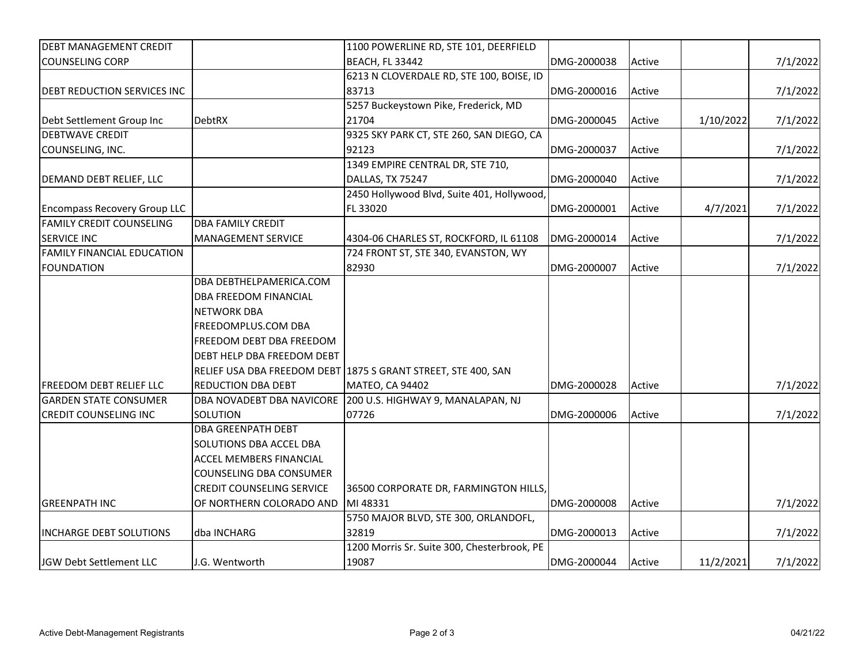| <b>DEBT MANAGEMENT CREDIT</b>       |                                  | 1100 POWERLINE RD, STE 101, DEERFIELD                          |             |        |           |          |
|-------------------------------------|----------------------------------|----------------------------------------------------------------|-------------|--------|-----------|----------|
| <b>COUNSELING CORP</b>              |                                  | <b>BEACH, FL 33442</b>                                         | DMG-2000038 | Active |           | 7/1/2022 |
|                                     |                                  | 6213 N CLOVERDALE RD, STE 100, BOISE, ID                       |             |        |           |          |
| <b>DEBT REDUCTION SERVICES INC</b>  |                                  | 83713                                                          | DMG-2000016 | Active |           | 7/1/2022 |
|                                     |                                  | 5257 Buckeystown Pike, Frederick, MD                           |             |        |           |          |
| Debt Settlement Group Inc           | <b>DebtRX</b>                    | 21704                                                          | DMG-2000045 | Active | 1/10/2022 | 7/1/2022 |
| <b>DEBTWAVE CREDIT</b>              |                                  | 9325 SKY PARK CT, STE 260, SAN DIEGO, CA                       |             |        |           |          |
| COUNSELING, INC.                    |                                  | 92123                                                          | DMG-2000037 | Active |           | 7/1/2022 |
|                                     |                                  | 1349 EMPIRE CENTRAL DR, STE 710,                               |             |        |           |          |
|                                     |                                  |                                                                | DMG-2000040 |        |           |          |
| DEMAND DEBT RELIEF, LLC             |                                  | DALLAS, TX 75247<br>2450 Hollywood Blvd, Suite 401, Hollywood, |             | Active |           | 7/1/2022 |
|                                     |                                  |                                                                |             |        |           |          |
| <b>Encompass Recovery Group LLC</b> |                                  | FL 33020                                                       | DMG-2000001 | Active | 4/7/2021  | 7/1/2022 |
| <b>FAMILY CREDIT COUNSELING</b>     | <b>DBA FAMILY CREDIT</b>         |                                                                |             |        |           |          |
| <b>SERVICE INC</b>                  | <b>MANAGEMENT SERVICE</b>        | 4304-06 CHARLES ST, ROCKFORD, IL 61108                         | DMG-2000014 | Active |           | 7/1/2022 |
| <b>FAMILY FINANCIAL EDUCATION</b>   |                                  | 724 FRONT ST, STE 340, EVANSTON, WY                            |             |        |           |          |
| <b>FOUNDATION</b>                   |                                  | 82930                                                          | DMG-2000007 | Active |           | 7/1/2022 |
|                                     | DBA DEBTHELPAMERICA.COM          |                                                                |             |        |           |          |
|                                     | DBA FREEDOM FINANCIAL            |                                                                |             |        |           |          |
|                                     | <b>NETWORK DBA</b>               |                                                                |             |        |           |          |
|                                     | FREEDOMPLUS.COM DBA              |                                                                |             |        |           |          |
|                                     | FREEDOM DEBT DBA FREEDOM         |                                                                |             |        |           |          |
|                                     | DEBT HELP DBA FREEDOM DEBT       |                                                                |             |        |           |          |
|                                     |                                  | RELIEF USA DBA FREEDOM DEBT 1875 S GRANT STREET, STE 400, SAN  |             |        |           |          |
| <b>FREEDOM DEBT RELIEF LLC</b>      | <b>REDUCTION DBA DEBT</b>        | MATEO, CA 94402                                                | DMG-2000028 | Active |           | 7/1/2022 |
| <b>GARDEN STATE CONSUMER</b>        |                                  | DBA NOVADEBT DBA NAVICORE 200 U.S. HIGHWAY 9, MANALAPAN, NJ    |             |        |           |          |
| <b>CREDIT COUNSELING INC</b>        | SOLUTION                         | 07726                                                          | DMG-2000006 | Active |           | 7/1/2022 |
|                                     | <b>DBA GREENPATH DEBT</b>        |                                                                |             |        |           |          |
|                                     | SOLUTIONS DBA ACCEL DBA          |                                                                |             |        |           |          |
|                                     | ACCEL MEMBERS FINANCIAL          |                                                                |             |        |           |          |
|                                     | COUNSELING DBA CONSUMER          |                                                                |             |        |           |          |
|                                     | <b>CREDIT COUNSELING SERVICE</b> | 36500 CORPORATE DR, FARMINGTON HILLS,                          |             |        |           |          |
| IGREENPATH INC                      | OF NORTHERN COLORADO AND         | MI 48331                                                       | DMG-2000008 | Active |           | 7/1/2022 |
|                                     |                                  | 5750 MAJOR BLVD, STE 300, ORLANDOFL,                           |             |        |           |          |
| <b>INCHARGE DEBT SOLUTIONS</b>      | dba INCHARG                      | 32819                                                          | DMG-2000013 | Active |           | 7/1/2022 |
|                                     |                                  | 1200 Morris Sr. Suite 300, Chesterbrook, PE                    |             |        |           |          |
| JGW Debt Settlement LLC             | J.G. Wentworth                   | 19087                                                          | DMG-2000044 | Active | 11/2/2021 | 7/1/2022 |
|                                     |                                  |                                                                |             |        |           |          |